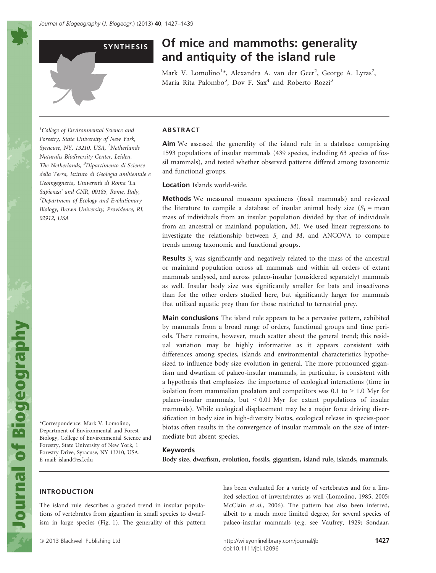# SYNTHESIS Of mice and mammoths: generality and antiquity of the island rule

Mark V. Lomolino<sup>1</sup>\*, Alexandra A. van der Geer<sup>2</sup>, George A. Lyras<sup>2</sup>, Maria Rita Palombo<sup>3</sup>, Dov F. Sax<sup>4</sup> and Roberto Rozzi<sup>3</sup>

<sup>1</sup>College of Environmental Science and Forestry, State University of New York, Syracuse, NY, 13210, USA, <sup>2</sup>Netherlands Naturalis Biodiversity Center, Leiden, The Netherlands, <sup>3</sup>Dipartimento di Scienze della Terra, Istituto di Geologia ambientale e Geoingegneria, Universita di Roma 'La Sapienza' and CNR, 00185, Rome, Italy, 4 Department of Ecology and Evolutionary Biology, Brown University, Providence, RI, 02912, USA

# ABSTRACT

Aim We assessed the generality of the island rule in a database comprising 1593 populations of insular mammals (439 species, including 63 species of fossil mammals), and tested whether observed patterns differed among taxonomic and functional groups.

Location Islands world-wide.

Methods We measured museum specimens (fossil mammals) and reviewed the literature to compile a database of insular animal body size  $(S_i = \text{mean})$ mass of individuals from an insular population divided by that of individuals from an ancestral or mainland population, M). We used linear regressions to investigate the relationship between  $S_i$  and  $M$ , and ANCOVA to compare trends among taxonomic and functional groups.

**Results**  $S_i$  was significantly and negatively related to the mass of the ancestral or mainland population across all mammals and within all orders of extant mammals analysed, and across palaeo-insular (considered separately) mammals as well. Insular body size was significantly smaller for bats and insectivores than for the other orders studied here, but significantly larger for mammals that utilized aquatic prey than for those restricted to terrestrial prey.

**Main conclusions** The island rule appears to be a pervasive pattern, exhibited by mammals from a broad range of orders, functional groups and time periods. There remains, however, much scatter about the general trend; this residual variation may be highly informative as it appears consistent with differences among species, islands and environmental characteristics hypothesized to influence body size evolution in general. The more pronounced gigantism and dwarfism of palaeo-insular mammals, in particular, is consistent with a hypothesis that emphasizes the importance of ecological interactions (time in isolation from mammalian predators and competitors was  $0.1$  to  $> 1.0$  Myr for palaeo-insular mammals, but < 0.01 Myr for extant populations of insular mammals). While ecological displacement may be a major force driving diversification in body size in high-diversity biotas, ecological release in species-poor biotas often results in the convergence of insular mammals on the size of intermediate but absent species.

#### Keywords

Body size, dwarfism, evolution, fossils, gigantism, island rule, islands, mammals.

# INTRODUCTION

E-mail: island@esf.edu

The island rule describes a graded trend in insular populations of vertebrates from gigantism in small species to dwarfism in large species (Fig. 1). The generality of this pattern

\*Correspondence: Mark V. Lomolino, Department of Environmental and Forest Biology, College of Environmental Science and Forestry, State University of New York, 1 Forestry Drive, Syracuse, NY 13210, USA.

> has been evaluated for a variety of vertebrates and for a limited selection of invertebrates as well (Lomolino, 1985, 2005; McClain et al., 2006). The pattern has also been inferred, albeit to a much more limited degree, for several species of palaeo-insular mammals (e.g. see Vaufrey, 1929; Sondaar,

ª 2013 Blackwell Publishing Ltd http://wileyonlinelibrary.com/journal/jbi 1427 doi:10.1111/jbi.12096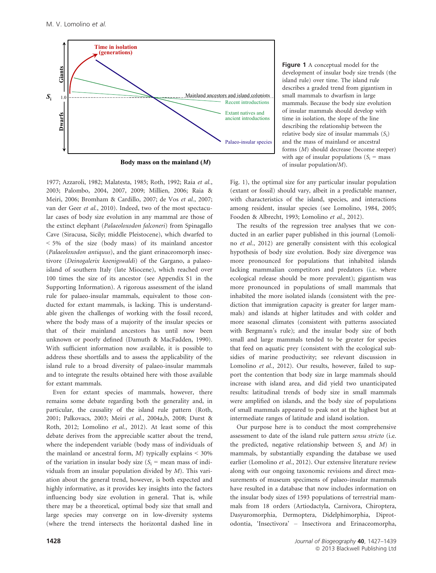

**Body mass on the mainland (***M***)**

1977; Azzaroli, 1982; Malatesta, 1985; Roth, 1992; Raia et al., 2003; Palombo, 2004, 2007, 2009; Millien, 2006; Raia & Meiri, 2006; Bromham & Cardillo, 2007; de Vos et al., 2007; van der Geer et al., 2010). Indeed, two of the most spectacular cases of body size evolution in any mammal are those of the extinct elephant (Palaeoloxodon falconeri) from Spinagallo Cave (Siracusa, Sicily; middle Pleistocene), which dwarfed to < 5% of the size (body mass) of its mainland ancestor (Palaeoloxodon antiquus), and the giant erinaceomorph insectivore (Deinogalerix koenigswaldi) of the Gargano, a palaeoisland of southern Italy (late Miocene), which reached over 100 times the size of its ancestor (see Appendix S1 in the Supporting Information). A rigorous assessment of the island rule for palaeo-insular mammals, equivalent to those conducted for extant mammals, is lacking. This is understandable given the challenges of working with the fossil record, where the body mass of a majority of the insular species or that of their mainland ancestors has until now been unknown or poorly defined (Damuth & MacFadden, 1990). With sufficient information now available, it is possible to address these shortfalls and to assess the applicability of the island rule to a broad diversity of palaeo-insular mammals and to integrate the results obtained here with those available for extant mammals.

Even for extant species of mammals, however, there remains some debate regarding both the generality and, in particular, the causality of the island rule pattern (Roth, 2001; Palkovacs, 2003; Meiri et al., 2004a,b, 2008; Durst & Roth, 2012; Lomolino et al., 2012). At least some of this debate derives from the appreciable scatter about the trend, where the independent variable (body mass of individuals of the mainland or ancestral form,  $M$ ) typically explains  $\leq 30\%$ of the variation in insular body size  $(S_i = \text{mean mass of indi-})$ viduals from an insular population divided by M). This variation about the general trend, however, is both expected and highly informative, as it provides key insights into the factors influencing body size evolution in general. That is, while there may be a theoretical, optimal body size that small and large species may converge on in low-diversity systems (where the trend intersects the horizontal dashed line in

Figure 1 A conceptual model for the development of insular body size trends (the island rule) over time. The island rule describes a graded trend from gigantism in small mammals to dwarfism in large mammals. Because the body size evolution of insular mammals should develop with time in isolation, the slope of the line describing the relationship between the relative body size of insular mammals  $(S_i)$ and the mass of mainland or ancestral forms (M) should decrease (become steeper) with age of insular populations ( $S_i$  = mass of insular population/M).

Fig. 1), the optimal size for any particular insular population (extant or fossil) should vary, albeit in a predictable manner, with characteristics of the island, species, and interactions among resident, insular species (see Lomolino, 1984, 2005; Fooden & Albrecht, 1993; Lomolino et al., 2012).

The results of the regression tree analyses that we conducted in an earlier paper published in this journal (Lomolino et al., 2012) are generally consistent with this ecological hypothesis of body size evolution. Body size divergence was more pronounced for populations that inhabited islands lacking mammalian competitors and predators (i.e. where ecological release should be more prevalent); gigantism was more pronounced in populations of small mammals that inhabited the more isolated islands (consistent with the prediction that immigration capacity is greater for larger mammals) and islands at higher latitudes and with colder and more seasonal climates (consistent with patterns associated with Bergmann's rule); and the insular body size of both small and large mammals tended to be greater for species that feed on aquatic prey (consistent with the ecological subsidies of marine productivity; see relevant discussion in Lomolino et al., 2012). Our results, however, failed to support the contention that body size in large mammals should increase with island area, and did yield two unanticipated results: latitudinal trends of body size in small mammals were amplified on islands, and the body size of populations of small mammals appeared to peak not at the highest but at intermediate ranges of latitude and island isolation.

Our purpose here is to conduct the most comprehensive assessment to date of the island rule pattern sensu stricto (i.e. the predicted, negative relationship between  $S_i$  and  $M$ ) in mammals, by substantially expanding the database we used earlier (Lomolino et al., 2012). Our extensive literature review along with our ongoing taxonomic revisions and direct measurements of museum specimens of palaeo-insular mammals have resulted in a database that now includes information on the insular body sizes of 1593 populations of terrestrial mammals from 18 orders (Artiodactyla, Carnivora, Chiroptera, Dasyuromorphia, Dermoptera, Didelphimorphia, Diprotodontia, 'Insectivora' – Insectivora and Erinaceomorpha,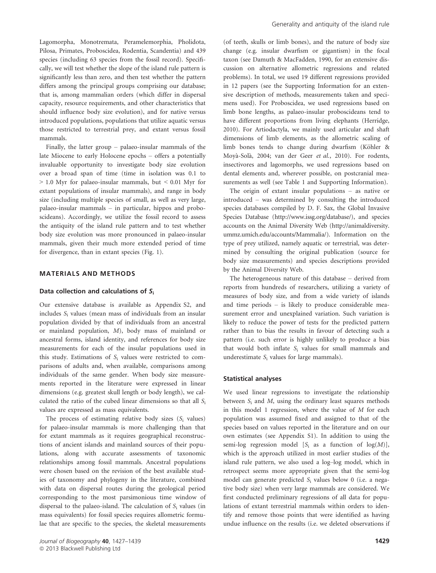Lagomorpha, Monotremata, Peramelemorphia, Pholidota, Pilosa, Primates, Proboscidea, Rodentia, Scandentia) and 439 species (including 63 species from the fossil record). Specifically, we will test whether the slope of the island rule pattern is significantly less than zero, and then test whether the pattern differs among the principal groups comprising our database; that is, among mammalian orders (which differ in dispersal capacity, resource requirements, and other characteristics that should influence body size evolution), and for native versus introduced populations, populations that utilize aquatic versus those restricted to terrestrial prey, and extant versus fossil mammals.

Finally, the latter group – palaeo-insular mammals of the late Miocene to early Holocene epochs – offers a potentially invaluable opportunity to investigate body size evolution over a broad span of time (time in isolation was 0.1 to > 1.0 Myr for palaeo-insular mammals, but < 0.01 Myr for extant populations of insular mammals), and range in body size (including multiple species of small, as well as very large, palaeo-insular mammals – in particular, hippos and proboscideans). Accordingly, we utilize the fossil record to assess the antiquity of the island rule pattern and to test whether body size evolution was more pronounced in palaeo-insular mammals, given their much more extended period of time for divergence, than in extant species (Fig. 1).

## MATERIALS AND METHODS

#### Data collection and calculations of  $S_i$

Our extensive database is available as Appendix S2, and includes S<sub>i</sub> values (mean mass of individuals from an insular population divided by that of individuals from an ancestral or mainland population, M), body mass of mainland or ancestral forms, island identity, and references for body size measurements for each of the insular populations used in this study. Estimations of  $S_i$  values were restricted to comparisons of adults and, when available, comparisons among individuals of the same gender. When body size measurements reported in the literature were expressed in linear dimensions (e.g. greatest skull length or body length), we calculated the ratio of the cubed linear dimensions so that all  $S_i$ values are expressed as mass equivalents.

The process of estimating relative body sizes  $(S_i \text{ values})$ for palaeo-insular mammals is more challenging than that for extant mammals as it requires geographical reconstructions of ancient islands and mainland sources of their populations, along with accurate assessments of taxonomic relationships among fossil mammals. Ancestral populations were chosen based on the revision of the best available studies of taxonomy and phylogeny in the literature, combined with data on dispersal routes during the geological period corresponding to the most parsimonious time window of dispersal to the palaeo-island. The calculation of  $S_i$  values (in mass equivalents) for fossil species requires allometric formulae that are specific to the species, the skeletal measurements (of teeth, skulls or limb bones), and the nature of body size change (e.g. insular dwarfism or gigantism) in the focal taxon (see Damuth & MacFadden, 1990, for an extensive discussion on alternative allometric regressions and related problems). In total, we used 19 different regressions provided in 12 papers (see the Supporting Information for an extensive description of methods, measurements taken and specimens used). For Proboscidea, we used regressions based on limb bone lengths, as palaeo-insular proboscideans tend to have different proportions from living elephants (Herridge, 2010). For Artiodactyla, we mainly used articular and shaft dimensions of limb elements, as the allometric scaling of limb bones tends to change during dwarfism (Köhler & Moya-Sola, 2004; van der Geer et al., 2010). For rodents, insectivores and lagomorphs, we used regressions based on dental elements and, wherever possible, on postcranial measurements as well (see Table 1 and Supporting Information).

The origin of extant insular populations – as native or introduced – was determined by consulting the introduced species databases compiled by D. F. Sax, the Global Invasive Species Database (http://www.issg.org/database/), and species accounts on the Animal Diversity Web (http://animaldiversity. ummz.umich.edu/accounts/Mammalia/). Information on the type of prey utilized, namely aquatic or terrestrial, was determined by consulting the original publication (source for body size measurements) and species descriptions provided by the Animal Diversity Web.

The heterogeneous nature of this database – derived from reports from hundreds of researchers, utilizing a variety of measures of body size, and from a wide variety of islands and time periods – is likely to produce considerable measurement error and unexplained variation. Such variation is likely to reduce the power of tests for the predicted pattern rather than to bias the results in favour of detecting such a pattern (i.e. such error is highly unlikely to produce a bias that would both inflate  $S_i$  values for small mammals and underestimate  $S_i$  values for large mammals).

## Statistical analyses

We used linear regressions to investigate the relationship between  $S_i$  and  $M$ , using the ordinary least squares methods in this model 1 regression, where the value of  $M$  for each population was assumed fixed and assigned to that of the species based on values reported in the literature and on our own estimates (see Appendix S1). In addition to using the semi-log regression model  $[S_i]$  as a function of  $log(M)$ ], which is the approach utilized in most earlier studies of the island rule pattern, we also used a log–log model, which in retrospect seems more appropriate given that the semi-log model can generate predicted  $S_i$  values below 0 (i.e. a negative body size) when very large mammals are considered. We first conducted preliminary regressions of all data for populations of extant terrestrial mammals within orders to identify and remove those points that were identified as having undue influence on the results (i.e. we deleted observations if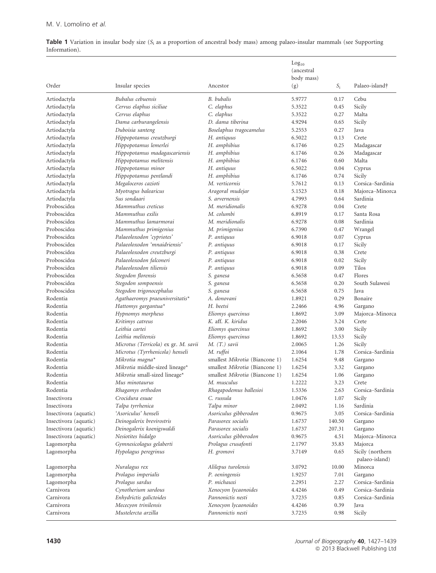Table 1 Variation in insular body size  $(S_i$  as a proportion of ancestral body mass) among palaeo-insular mammals (see Supporting Information).

|                       |                                      |                                | Log <sub>10</sub><br>(ancestral<br>body mass) |        |                                    |
|-----------------------|--------------------------------------|--------------------------------|-----------------------------------------------|--------|------------------------------------|
| Order                 | Insular species                      | Ancestor                       | (g)                                           | $S_i$  | Palaeo-island†                     |
| Artiodactyla          | Bubalus cebuensis                    | B. bubalis                     | 5.9777                                        | 0.17   | Cebu                               |
| Artiodactyla          | Cervus elaphus siciliae              | C. elaphus                     | 5.3522                                        | 0.45   | Sicily                             |
| Artiodactyla          | Cervus elaphus                       | C. elaphus                     | 5.3522                                        | 0.27   | Malta                              |
| Artiodactyla          | Dama carburangelensis                | D. dama tiberina               | 4.9294                                        | 0.65   | Sicily                             |
| Artiodactyla          | Duboisia santeng                     | Boselaphus tragocamelus        | 5.2553                                        | 0.27   | Java                               |
| Artiodactyla          | Hippopotamus creutzburgi             | H. antiquus                    | 6.5022                                        | 0.13   | Crete                              |
| Artiodactyla          | Hippopotamus lemerlei                | H. amphibius                   | 6.1746                                        | 0.25   | Madagascar                         |
| Artiodactyla          | Hippopotamus madagascariensis        | H. amphibius                   | 6.1746                                        | 0.26   | Madagascar                         |
| Artiodactyla          | Hippopotamus melitensis              | H. amphibius                   | 6.1746                                        | 0.60   | Malta                              |
| Artiodactyla          | Hippopotamus minor                   | H. antiquus                    | 6.5022                                        | 0.04   | Cyprus                             |
| Artiodactyla          | Hippopotamus pentlandi               | H. amphibius                   | 6.1746                                        | 0.74   | Sicily                             |
| Artiodactyla          | Megaloceros cazioti                  | M. verticornis                 | 5.7612                                        | 0.13   | Corsica-Sardinia                   |
| Artiodactyla          | Myotragus balearicus                 | Aragoral mudejar               | 5.1523                                        | 0.18   | Majorca-Minorca                    |
| Artiodactyla          | Sus sondaari                         | S. arvernensis                 | 4.7993                                        | 0.64   | Sardinia                           |
| Proboscidea           | Mammuthus creticus                   | M. meridionalis                | 6.9278                                        | 0.04   | Crete                              |
| Proboscidea           | Mammuthus exilis                     | M. columbi                     | 6.8919                                        | 0.17   | Santa Rosa                         |
| Proboscidea           | Mammuthus lamarmorai                 | M. meridionalis                | 6.9278                                        | 0.08   | Sardinia                           |
| Proboscidea           | Mammuthus primigenius                | M. primigenius                 | 6.7390                                        | 0.47   | Wrangel                            |
| Proboscidea           | Palaeoloxodon 'cypriotes'            | P. antiquus                    | 6.9018                                        | 0.07   | Cyprus                             |
| Proboscidea           | Palaeoloxodon 'mnaidriensis'         | P. antiquus                    | 6.9018                                        | 0.17   | Sicily                             |
| Proboscidea           | Palaeoloxodon creutzburgi            | P. antiquus                    | 6.9018                                        | 0.38   | Crete                              |
| Proboscidea           | Palaeoloxodon falconeri              | P. antiquus                    | 6.9018                                        | 0.02   | Sicily                             |
| Proboscidea           | Palaeoloxodon tiliensis              | P. antiquus                    | 6.9018                                        | 0.09   | Tilos                              |
| Proboscidea           | Stegodon florensis                   | S. ganesa                      | 6.5658                                        | 0.47   | Flores                             |
| Proboscidea           | Stegodon sompoensis                  | S. ganesa                      | 6.5658                                        | 0.20   | South Sulawesi                     |
| Proboscidea           | Stegodon trigonocephalus             | S. ganesa                      | 6.5658                                        | 0.75   | <b>J</b> ava                       |
| Rodentia              | Agathaeromys praeuniversitatis*      | A. donovani                    | 1.8921                                        | 0.29   | Bonaire                            |
| Rodentia              | Hattomys gargantua*                  | H. beetsi                      | 2.2466                                        | 4.96   | Gargano                            |
| Rodentia              | Hypnomys morpheus                    | Eliomys quercinus              | 1.8692                                        | 3.09   | Majorca-Minorca                    |
| Rodentia              | Kritimys catreus                     | K. aff. K. kiridus             | 2.2046                                        | 3.24   | Crete                              |
| Rodentia              | Leithia cartei                       | Eliomys quercinus              | 1.8692                                        | 3.00   | Sicily                             |
| Rodentia              | Leithia melitensis                   | Eliomys quercinus              | 1.8692                                        | 13.53  | Sicily                             |
| Rodentia              | Microtus (Terricola) ex gr. M. savii | $M.$ $(T.)$ savii              | 2.0065                                        | 1.26   | Sicily                             |
| Rodentia              | Microtus (Tyrrhenicola) henseli      | M. ruffoi                      | 2.1064                                        | 1.78   | Corsica-Sardinia                   |
| Rodentia              | Mikrotia magna*                      | smallest Mikrotia (Biancone 1) | 1.6254                                        | 9.48   | Gargano                            |
| Rodentia              | Mikrotia middle-sized lineage*       | smallest Mikrotia (Biancone 1) | 1.6254                                        | 3.32   | Gargano                            |
| Rodentia              | Mikrotia small-sized lineage*        | smallest Mikrotia (Biancone 1) | 1.6254                                        | 1.06   | Gargano                            |
| Rodentia              | Mus minotaurus                       | M. musculus                    | 1.2222                                        | 3.23   | Crete                              |
| Rodentia              | Rhagamys orthodon                    | Rhagapodemus ballesioi         | 1.5336                                        | 2.63   | Corsica–Sardinia                   |
| Insectivora           | Crocidura esuae                      | C. russula                     | 1.0476                                        | 1.07   | Sicily                             |
| Insectivora           | Talpa tyrrhenica                     | Talpa minor                    | 2.0492                                        | 1.16   | Sardinia                           |
| Insectivora (aquatic) | 'Asoriculus' henseli                 | Asoriculus gibberodon          | 0.9675                                        | 3.05   | Corsica-Sardinia                   |
| Insectivora (aquatic) | Deinogalerix brevirostris            | Parasorex socialis             | 1.6737                                        | 140.50 | Gargano                            |
| Insectivora (aquatic) | Deinogalerix koenigswaldi            | Parasorex socialis             | 1.6737                                        | 207.31 | Gargano                            |
| Insectivora (aquatic) | Nesiotites hidalgo                   | Asoriculus gibberodon          | 0.9675                                        | 4.51   | Majorca-Minorca                    |
| Lagomorpha            | Gymnesicolagus gelaberti             | Prolagus crusafonti            | 2.1797                                        | 35.83  | Majorca                            |
| Lagomorpha            | Hypolagus peregrinus                 | H. gromovi                     | 3.7149                                        | 0.65   | Sicily (northern<br>palaeo-island) |
| Lagomorpha            | Nuralagus rex                        | Alilepus turolensis            | 3.0792                                        | 10.00  | Minorca                            |
| Lagomorpha            | Prolagus imperialis                  | P. oeningensis                 | 1.9257                                        | 7.01   | Gargano                            |
| Lagomorpha            | Prolagus sardus                      | P. michauxi                    | 2.2951                                        | 2.27   | Corsica-Sardinia                   |
| Carnivora             | Cynotherium sardous                  | Xenocyon lycaonoides           | 4.4246                                        | 0.49   | Corsica-Sardinia                   |
| Carnivora             | Enhydrictis galictoides              | Pannonictis nesti              | 3.7235                                        | 0.85   | Corsica-Sardinia                   |
| Carnivora             | Mececyon trinilensis                 | Xenocyon lycaonoides           | 4.4246                                        | 0.39   | Java                               |
| Carnivora             | Mustelercta arzilla                  | Pannonictis nesti              | 3.7235                                        | 0.98   | Sicily                             |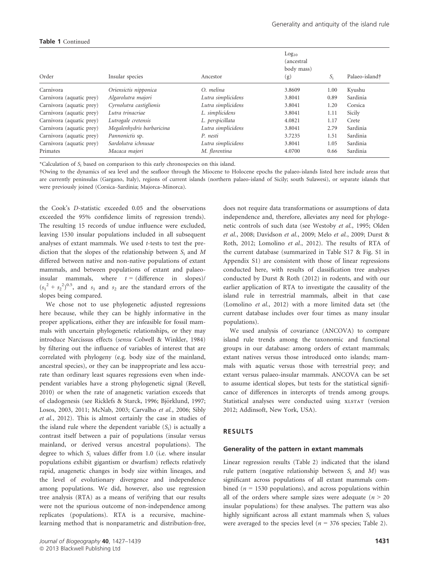# Table 1 Continued

| Order                    | Insular species           | Ancestor           | Log <sub>10</sub><br>(ancestral<br>body mass)<br>(g) | $S_i$ | Palaeo-island† |
|--------------------------|---------------------------|--------------------|------------------------------------------------------|-------|----------------|
| Carnivora                | Oriensictis nipponica     | O. melina          | 3.8609                                               | 1.00  | Kyushu         |
| Carnivora (aquatic prey) | Algarolutra majori        | Lutra simplicidens | 3.8041                                               | 0.89  | Sardinia       |
| Carnivora (aquatic prey) | Cyrnolutra castiglionis   | Lutra simplicidens | 3.8041                                               | 1.20  | Corsica        |
| Carnivora (aquatic prey) | Lutra trinacriae          | L. simplicidens    | 3.8041                                               | 1.11  | Sicily         |
| Carnivora (aquatic prey) | Lutrogale cretensis       | L. perspicillata   | 4.0821                                               | 1.17  | Crete          |
| Carnivora (aquatic prey) | Megalenhydris barbaricina | Lutra simplicidens | 3.8041                                               | 2.79  | Sardinia       |
| Carnivora (aquatic prey) | Pannonictis sp.           | P. nesti           | 3.7235                                               | 1.51  | Sardinia       |
| Carnivora (aquatic prey) | Sardolutra ichnusae       | Lutra simplicidens | 3.8041                                               | 1.05  | Sardinia       |
| Primates                 | Macaca majori             | M. florentina      | 4.0700                                               | 0.66  | Sardinia       |

\*Calculation of S<sup>i</sup> based on comparison to this early chronospecies on this island.

†Owing to the dynamics of sea level and the seafloor through the Miocene to Holocene epochs the palaeo-islands listed here include areas that are currently peninsulas (Gargano, Italy), regions of current islands (northern palaeo-island of Sicily; south Sulawesi), or separate islands that were previously joined (Corsica–Sardinia; Majorca–Minorca).

the Cook's D-statistic exceeded 0.05 and the observations exceeded the 95% confidence limits of regression trends). The resulting 15 records of undue influence were excluded, leaving 1530 insular populations included in all subsequent analyses of extant mammals. We used t-tests to test the prediction that the slopes of the relationship between  $S_i$  and M differed between native and non-native populations of extant mammals, and between populations of extant and palaeoinsular mammals, where  $t = (difference \ in slopes)/$  $(s_1^2 + s_2^2)^{0.5}$ , and  $s_1$  and  $s_2$  are the standard errors of the slopes being compared.

We chose not to use phylogenetic adjusted regressions here because, while they can be highly informative in the proper applications, either they are infeasible for fossil mammals with uncertain phylogenetic relationships, or they may introduce Narcissus effects (sensu Colwell & Winkler, 1984) by filtering out the influence of variables of interest that are correlated with phylogeny (e.g. body size of the mainland, ancestral species), or they can be inappropriate and less accurate than ordinary least squares regressions even when independent variables have a strong phylogenetic signal (Revell, 2010) or when the rate of anagenetic variation exceeds that of cladogenesis (see Ricklefs & Starck, 1996; Björklund, 1997; Losos, 2003, 2011; McNab, 2003; Carvalho et al., 2006; Sibly et al., 2012). This is almost certainly the case in studies of the island rule where the dependent variable  $(S_i)$  is actually a contrast itself between a pair of populations (insular versus mainland, or derived versus ancestral populations). The degree to which  $S_i$  values differ from 1.0 (i.e. where insular populations exhibit gigantism or dwarfism) reflects relatively rapid, anagenetic changes in body size within lineages, and the level of evolutionary divergence and independence among populations. We did, however, also use regression tree analysis (RTA) as a means of verifying that our results were not the spurious outcome of non-independence among replicates (populations). RTA is a recursive, machinelearning method that is nonparametric and distribution-free,

does not require data transformations or assumptions of data independence and, therefore, alleviates any need for phylogenetic controls of such data (see Westoby et al., 1995; Olden et al., 2008; Davidson et al., 2009; Melo et al., 2009; Durst & Roth, 2012; Lomolino et al., 2012). The results of RTA of the current database (summarized in Table S17 & Fig. S1 in Appendix S1) are consistent with those of linear regressions conducted here, with results of classification tree analyses conducted by Durst & Roth (2012) in rodents, and with our earlier application of RTA to investigate the causality of the island rule in terrestrial mammals, albeit in that case (Lomolino et al., 2012) with a more limited data set (the current database includes over four times as many insular populations).

We used analysis of covariance (ANCOVA) to compare island rule trends among the taxonomic and functional groups in our database: among orders of extant mammals; extant natives versus those introduced onto islands; mammals with aquatic versus those with terrestrial prey; and extant versus palaeo-insular mammals. ANCOVA can be set to assume identical slopes, but tests for the statistical significance of differences in intercepts of trends among groups. Statistical analyses were conducted using XLSTAT (version 2012; Addinsoft, New York, USA).

#### RESULTS

#### Generality of the pattern in extant mammals

Linear regression results (Table 2) indicated that the island rule pattern (negative relationship between  $S_i$  and  $M$ ) was significant across populations of all extant mammals combined ( $n = 1530$  populations), and across populations within all of the orders where sample sizes were adequate  $(n > 20)$ insular populations) for these analyses. The pattern was also highly significant across all extant mammals when  $S_i$  values were averaged to the species level ( $n = 376$  species; Table 2).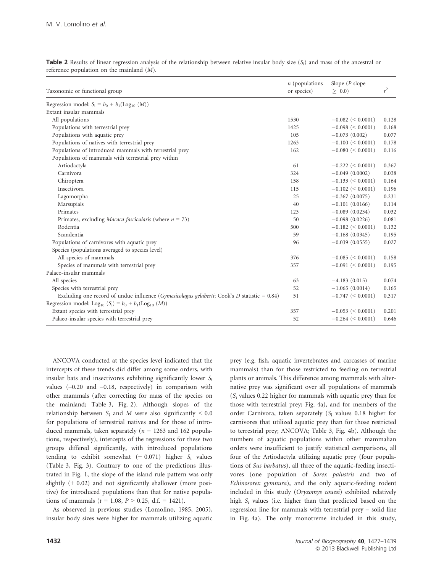|                                                                                                                 | $n$ (populations | Slope $(P \text{ slope})$ |       |
|-----------------------------------------------------------------------------------------------------------------|------------------|---------------------------|-------|
| Taxonomic or functional group                                                                                   | or species)      | > 0.0                     | $r^2$ |
| Regression model: $S_i = b_0 + b_1(\text{Log}_{10}(M))$                                                         |                  |                           |       |
| Extant insular mammals                                                                                          |                  |                           |       |
| All populations                                                                                                 | 1530             | $-0.082 \le 0.0001$       | 0.128 |
| Populations with terrestrial prey                                                                               | 1425             | $-0.098 \le 0.0001$       | 0.168 |
| Populations with aquatic prey                                                                                   | 105              | $-0.073(0.002)$           | 0.077 |
| Populations of natives with terrestrial prey                                                                    | 1263             | $-0.100 \leq 0.0001$      | 0.178 |
| Populations of introduced mammals with terrestrial prey                                                         | 162              | $-0.080 \le 0.0001$       | 0.116 |
| Populations of mammals with terrestrial prey within                                                             |                  |                           |       |
| Artiodactyla                                                                                                    | 61               | $-0.222 \leq 0.0001$      | 0.367 |
| Carnivora                                                                                                       | 324              | $-0.049(0.0002)$          | 0.038 |
| Chiroptera                                                                                                      | 158              | $-0.133 \leq 0.0001$      | 0.164 |
| Insectivora                                                                                                     | 115              | $-0.102 \leq 0.0001$      | 0.196 |
| Lagomorpha                                                                                                      | 25               | $-0.367(0.0075)$          | 0.231 |
| Marsupials                                                                                                      | 40               | $-0.101(0.0166)$          | 0.114 |
| Primates                                                                                                        | 123              | $-0.089(0.0234)$          | 0.032 |
| Primates, excluding <i>Macaca fascicularis</i> (where $n = 73$ )                                                | 50               | $-0.098(0.0226)$          | 0.081 |
| Rodentia                                                                                                        | 500              | $-0.182 \leq 0.0001$      | 0.132 |
| Scandentia                                                                                                      | 59               | $-0.168(0.0345)$          | 0.195 |
| Populations of carnivores with aquatic prey                                                                     | 96               | $-0.039(0.0555)$          | 0.027 |
| Species (populations averaged to species level)                                                                 |                  |                           |       |
| All species of mammals                                                                                          | 376              | $-0.085 \leq 0.0001$      | 0.158 |
| Species of mammals with terrestrial prey                                                                        | 357              | $-0.091 \leq 0.0001$      | 0.195 |
| Palaeo-insular mammals                                                                                          |                  |                           |       |
| All species                                                                                                     | 63               | $-4.183(0.015)$           | 0.074 |
| Species with terrestrial prey                                                                                   | 52               | $-1.065(0.0014)$          | 0.165 |
| Excluding one record of undue influence ( <i>Gymesicolagus gelaberti</i> ; Cook's <i>D</i> statistic = $0.84$ ) | 51               | $-0.747 \leq 0.0001$      | 0.317 |
| Regression model: Log <sub>10</sub> (S <sub>i</sub> ) = $b_0$ + $b_1$ (Log <sub>10</sub> (M))                   |                  |                           |       |
| Extant species with terrestrial prey                                                                            | 357              | $-0.053 \leq 0.0001$      | 0.201 |
| Palaeo-insular species with terrestrial prey                                                                    | 52               | $-0.264 \leq 0.0001$      | 0.646 |

**Table 2** Results of linear regression analysis of the relationship between relative insular body size  $(S_i)$  and mass of the ancestral or reference population on the mainland (M).

ANCOVA conducted at the species level indicated that the intercepts of these trends did differ among some orders, with insular bats and insectivores exhibiting significantly lower  $S_i$ values (–0.20 and –0.18, respectively) in comparison with other mammals (after correcting for mass of the species on the mainland; Table 3, Fig. 2). Although slopes of the relationship between  $S_i$  and M were also significantly  $\leq 0.0$ for populations of terrestrial natives and for those of introduced mammals, taken separately ( $n = 1263$  and 162 populations, respectively), intercepts of the regressions for these two groups differed significantly, with introduced populations tending to exhibit somewhat  $(+ 0.071)$  higher  $S_i$  values (Table 3, Fig. 3). Contrary to one of the predictions illustrated in Fig. 1, the slope of the island rule pattern was only slightly (+ 0.02) and not significantly shallower (more positive) for introduced populations than that for native populations of mammals ( $t = 1.08$ ,  $P > 0.25$ , d.f. = 1421).

As observed in previous studies (Lomolino, 1985, 2005), insular body sizes were higher for mammals utilizing aquatic prey (e.g. fish, aquatic invertebrates and carcasses of marine mammals) than for those restricted to feeding on terrestrial plants or animals. This difference among mammals with alternative prey was significant over all populations of mammals  $(S<sub>i</sub>$  values 0.22 higher for mammals with aquatic prey than for those with terrestrial prey; Fig. 4a), and for members of the order Carnivora, taken separately  $(S<sub>i</sub>$  values 0.18 higher for carnivores that utilized aquatic prey than for those restricted to terrestrial prey; ANCOVA; Table 3, Fig. 4b). Although the numbers of aquatic populations within other mammalian orders were insufficient to justify statistical comparisons, all four of the Artiodactyla utilizing aquatic prey (four populations of Sus barbatus), all three of the aquatic-feeding insectivores (one population of Sorex palustris and two of Echinosorex gymnura), and the only aquatic-feeding rodent included in this study (Oryzomys couesi) exhibited relatively high S<sub>i</sub> values (i.e. higher than that predicted based on the regression line for mammals with terrestrial prey – solid line in Fig. 4a). The only monotreme included in this study,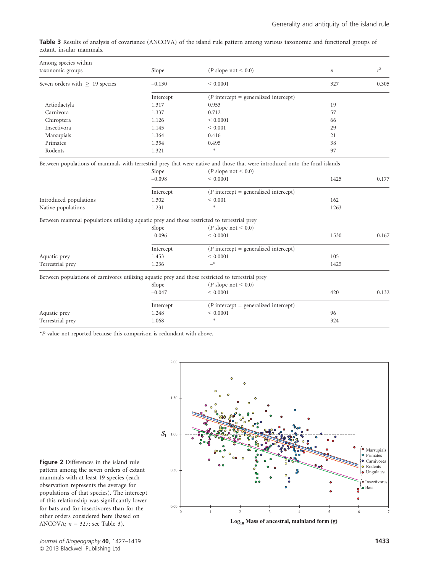|                          |  | <b>Table 3</b> Results of analysis of covariance (ANCOVA) of the island rule pattern among various taxonomic and functional groups of |  |  |  |
|--------------------------|--|---------------------------------------------------------------------------------------------------------------------------------------|--|--|--|
| extant, insular mammals. |  |                                                                                                                                       |  |  |  |

| Among species within                                                                              |           |                                                                                                                             |         |       |
|---------------------------------------------------------------------------------------------------|-----------|-----------------------------------------------------------------------------------------------------------------------------|---------|-------|
| taxonomic groups                                                                                  | Slope     | ( <i>P</i> slope not $< 0.0$ )                                                                                              | $\it n$ | $r^2$ |
| Seven orders with $> 19$ species                                                                  | $-0.130$  | ${}< 0.0001$                                                                                                                | 327     | 0.305 |
|                                                                                                   | Intercept | $(P$ intercept = generalized intercept)                                                                                     |         |       |
| Artiodactyla                                                                                      | 1.317     | 0.953                                                                                                                       | 19      |       |
| Carnivora                                                                                         | 1.337     | 0.712                                                                                                                       | 57      |       |
| Chiroptera                                                                                        | 1.126     | ${}< 0.0001$                                                                                                                | 66      |       |
| Insectivora                                                                                       | 1.145     | ${}< 0.001$                                                                                                                 | 29      |       |
| Marsupials                                                                                        | 1.364     | 0.416                                                                                                                       | 21      |       |
| Primates                                                                                          | 1.354     | 0.495                                                                                                                       | 38      |       |
| Rodents                                                                                           | 1.321     | $\rightarrow$                                                                                                               | 97      |       |
|                                                                                                   |           | Between populations of mammals with terrestrial prey that were native and those that were introduced onto the focal islands |         |       |
|                                                                                                   | Slope     | ( <i>P</i> slope not < 0.0)                                                                                                 |         |       |
|                                                                                                   | $-0.098$  | ${}< 0.0001$                                                                                                                | 1425    | 0.177 |
|                                                                                                   | Intercept | $(P$ intercept = generalized intercept)                                                                                     |         |       |
| Introduced populations                                                                            | 1.302     | ${}< 0.001$                                                                                                                 | 162     |       |
| Native populations                                                                                | 1.231     | $-*$                                                                                                                        | 1263    |       |
| Between mammal populations utilizing aquatic prey and those restricted to terrestrial prey        |           |                                                                                                                             |         |       |
|                                                                                                   | Slope     | ( <i>P</i> slope not < 0.0)                                                                                                 |         |       |
|                                                                                                   | $-0.096$  | ${}< 0.0001$                                                                                                                | 1530    | 0.167 |
|                                                                                                   | Intercept | $(P$ intercept = generalized intercept)                                                                                     |         |       |
| Aquatic prey                                                                                      | 1.453     | ${}< 0.0001$                                                                                                                | 105     |       |
| Terrestrial prey                                                                                  | 1.236     | $-*$                                                                                                                        | 1425    |       |
| Between populations of carnivores utilizing aquatic prey and those restricted to terrestrial prey |           |                                                                                                                             |         |       |
|                                                                                                   | Slope     | ( <i>P</i> slope not $< 0.0$ )                                                                                              |         |       |
|                                                                                                   | $-0.047$  | < 0.0001                                                                                                                    | 420     | 0.132 |
|                                                                                                   | Intercept | $(P$ intercept = generalized intercept)                                                                                     |         |       |
| Aquatic prey                                                                                      | 1.248     | ${}< 0.0001$                                                                                                                | 96      |       |
| Terrestrial prey                                                                                  | 1.068     | $\rightarrow$                                                                                                               | 324     |       |

\*P-value not reported because this comparison is redundant with above.



**Log10 Mass of ancestral, mainland form (g)**

Figure 2 Differences in the island rule pattern among the seven orders of extant mammals with at least 19 species (each observation represents the average for populations of that species). The intercept of this relationship was significantly lower for bats and for insectivores than for the other orders considered here (based on ANCOVA;  $n = 327$ ; see Table 3).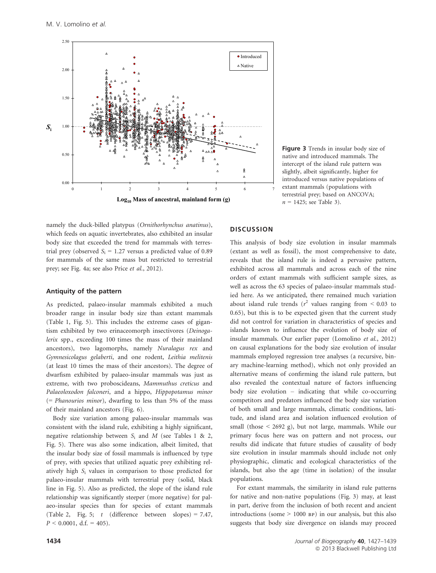

Figure 3 Trends in insular body size of native and introduced mammals. The intercept of the island rule pattern was slightly, albeit significantly, higher for introduced versus native populations of extant mammals (populations with terrestrial prey; based on ANCOVA;  $n = 1425$ ; see Table 3).

namely the duck-billed platypus (Ornithorhynchus anatinus), which feeds on aquatic invertebrates, also exhibited an insular body size that exceeded the trend for mammals with terrestrial prey (observed  $S_i = 1.27$  versus a predicted value of 0.89 for mammals of the same mass but restricted to terrestrial prey; see Fig. 4a; see also Price et al., 2012).

## Antiquity of the pattern

As predicted, palaeo-insular mammals exhibited a much broader range in insular body size than extant mammals (Table 1, Fig. 5). This includes the extreme cases of gigantism exhibited by two erinaceomorph insectivores (Deinogalerix spp., exceeding 100 times the mass of their mainland ancestors), two lagomorphs, namely Nuralagus rex and Gymnesicolagus gelaberti, and one rodent, Leithia melitenis (at least 10 times the mass of their ancestors). The degree of dwarfism exhibited by palaeo-insular mammals was just as extreme, with two proboscideans, Mammuthus creticus and Palaeoloxodon falconeri, and a hippo, Hippopotamus minor (= Phanourios minor), dwarfing to less than 5% of the mass of their mainland ancestors (Fig. 6).

Body size variation among palaeo-insular mammals was consistent with the island rule, exhibiting a highly significant, negative relationship between  $S_i$  and  $M$  (see Tables 1 & 2, Fig. 5). There was also some indication, albeit limited, that the insular body size of fossil mammals is influenced by type of prey, with species that utilized aquatic prey exhibiting relatively high S<sup>i</sup> values in comparison to those predicted for palaeo-insular mammals with terrestrial prey (solid, black line in Fig. 5). Also as predicted, the slope of the island rule relationship was significantly steeper (more negative) for palaeo-insular species than for species of extant mammals (Table 2, Fig. 5;  $t$  (difference between slopes) = 7.47,  $P < 0.0001$ , d.f. = 405).

# **DISCUSSION**

This analysis of body size evolution in insular mammals (extant as well as fossil), the most comprehensive to date, reveals that the island rule is indeed a pervasive pattern, exhibited across all mammals and across each of the nine orders of extant mammals with sufficient sample sizes, as well as across the 63 species of palaeo-insular mammals studied here. As we anticipated, there remained much variation about island rule trends ( $r^2$  values ranging from < 0.03 to 0.65), but this is to be expected given that the current study did not control for variation in characteristics of species and islands known to influence the evolution of body size of insular mammals. Our earlier paper (Lomolino et al., 2012) on causal explanations for the body size evolution of insular mammals employed regression tree analyses (a recursive, binary machine-learning method), which not only provided an alternative means of confirming the island rule pattern, but also revealed the contextual nature of factors influencing body size evolution – indicating that while co-occurring competitors and predators influenced the body size variation of both small and large mammals, climatic conditions, latitude, and island area and isolation influenced evolution of small (those < 2692 g), but not large, mammals. While our primary focus here was on pattern and not process, our results did indicate that future studies of causality of body size evolution in insular mammals should include not only physiographic, climatic and ecological characteristics of the islands, but also the age (time in isolation) of the insular populations.

For extant mammals, the similarity in island rule patterns for native and non-native populations (Fig. 3) may, at least in part, derive from the inclusion of both recent and ancient introductions (some > 1000 bp) in our analysis, but this also suggests that body size divergence on islands may proceed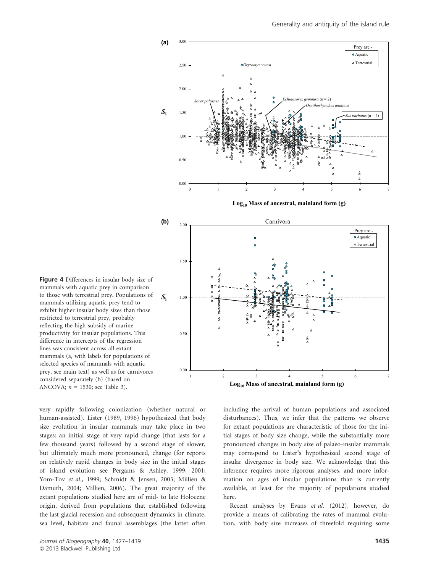

**Log10 Mass of ancestral, mainland form (g)**



Figure 4 Differences in insular body size of mammals with aquatic prey in comparison to those with terrestrial prey. Populations of mammals utilizing aquatic prey tend to exhibit higher insular body sizes than those restricted to terrestrial prey, probably reflecting the high subsidy of marine productivity for insular populations. This difference in intercepts of the regression lines was consistent across all extant mammals (a, with labels for populations of selected species of mammals with aquatic prey, see main text) as well as for carnivores considered separately (b) (based on ANCOVA;  $n = 1530$ ; see Table 3).

very rapidly following colonization (whether natural or human-assisted). Lister (1989, 1996) hypothesized that body size evolution in insular mammals may take place in two stages: an initial stage of very rapid change (that lasts for a few thousand years) followed by a second stage of slower, but ultimately much more pronounced, change (for reports on relatively rapid changes in body size in the initial stages of island evolution see Pergams & Ashley, 1999, 2001; Yom-Tov et al., 1999; Schmidt & Jensen, 2003; Millien & Damuth, 2004; Millien, 2006). The great majority of the extant populations studied here are of mid- to late Holocene origin, derived from populations that established following the last glacial recession and subsequent dynamics in climate, sea level, habitats and faunal assemblages (the latter often

including the arrival of human populations and associated disturbances). Thus, we infer that the patterns we observe for extant populations are characteristic of those for the initial stages of body size change, while the substantially more pronounced changes in body size of palaeo-insular mammals may correspond to Lister's hypothesized second stage of insular divergence in body size. We acknowledge that this inference requires more rigorous analyses, and more information on ages of insular populations than is currently available, at least for the majority of populations studied here.

Recent analyses by Evans et al. (2012), however, do provide a means of calibrating the rates of mammal evolution, with body size increases of threefold requiring some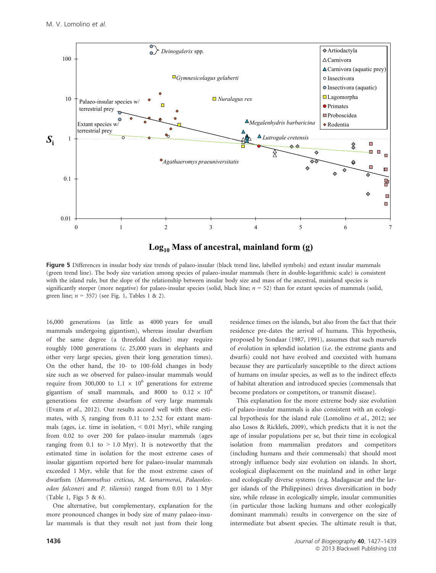

**Log10 Mass of ancestral, mainland form (g)**

Figure 5 Differences in insular body size trends of palaeo-insular (black trend line, labelled symbols) and extant insular mammals (green trend line). The body size variation among species of palaeo-insular mammals (here in double-logarithmic scale) is consistent with the island rule, but the slope of the relationship between insular body size and mass of the ancestral, mainland species is significantly steeper (more negative) for palaeo-insular species (solid, black line;  $n = 52$ ) than for extant species of mammals (solid, green line;  $n = 357$ ) (see Fig. 1, Tables 1 & 2).

16,000 generations (as little as 4000 years for small mammals undergoing gigantism), whereas insular dwarfism of the same degree (a threefold decline) may require roughly 1000 generations (c. 25,000 years in elephants and other very large species, given their long generation times). On the other hand, the 10- to 100-fold changes in body size such as we observed for palaeo-insular mammals would require from 300,000 to 1.1  $\times$  10<sup>6</sup> generations for extreme gigantism of small mammals, and 8000 to  $0.12 \times 10^6$ generations for extreme dwarfism of very large mammals (Evans et al., 2012). Our results accord well with these estimates, with  $S_i$  ranging from 0.11 to 2.52 for extant mammals (ages, i.e. time in isolation,  $\leq 0.01$  Myr), while ranging from 0.02 to over 200 for palaeo-insular mammals (ages ranging from 0.1 to  $> 1.0$  Myr). It is noteworthy that the estimated time in isolation for the most extreme cases of insular gigantism reported here for palaeo-insular mammals exceeded 1 Myr, while that for the most extreme cases of dwarfism (Mammuthus creticus, M. lamarmorai, Palaeoloxodon falconeri and P. tiliensis) ranged from 0.01 to 1 Myr (Table 1, Figs 5 & 6).

One alternative, but complementary, explanation for the more pronounced changes in body size of many palaeo-insular mammals is that they result not just from their long

1436

residence times on the islands, but also from the fact that their residence pre-dates the arrival of humans. This hypothesis, proposed by Sondaar (1987, 1991), assumes that such marvels of evolution in splendid isolation (i.e. the extreme giants and dwarfs) could not have evolved and coexisted with humans because they are particularly susceptible to the direct actions of humans on insular species, as well as to the indirect effects of habitat alteration and introduced species (commensals that become predators or competitors, or transmit disease).

This explanation for the more extreme body size evolution of palaeo-insular mammals is also consistent with an ecological hypothesis for the island rule (Lomolino et al., 2012; see also Losos & Ricklefs, 2009), which predicts that it is not the age of insular populations per se, but their time in ecological isolation from mammalian predators and competitors (including humans and their commensals) that should most strongly influence body size evolution on islands. In short, ecological displacement on the mainland and in other large and ecologically diverse systems (e.g. Madagascar and the larger islands of the Philippines) drives diversification in body size, while release in ecologically simple, insular communities (in particular those lacking humans and other ecologically dominant mammals) results in convergence on the size of intermediate but absent species. The ultimate result is that,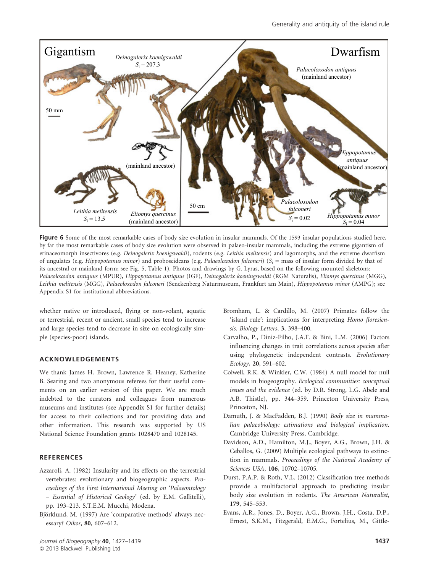

Figure 6 Some of the most remarkable cases of body size evolution in insular mammals. Of the 1593 insular populations studied here, by far the most remarkable cases of body size evolution were observed in palaeo-insular mammals, including the extreme gigantism of erinaceomorph insectivores (e.g. Deinogalerix koenigswaldi), rodents (e.g. Leithia melitensis) and lagomorphs, and the extreme dwarfism of ungulates (e.g. Hippopotamus minor) and proboscideans (e.g. Palaeoloxodon falconeri) ( $S_i$  = mass of insular form divided by that of its ancestral or mainland form; see Fig. 5, Table 1). Photos and drawings by G. Lyras, based on the following mounted skeletons: Palaeoloxodon antiquus (MPUR), Hippopotamus antiquus (IGF), Deinogalerix koeningswaldi (RGM Naturalis), Eliomys quercinus (MGG), Leithia melitensis (MGG), Palaeoloxodon falconeri (Senckenberg Naturmuseum, Frankfurt am Main), Hippopotamus minor (AMPG); see Appendix S1 for institutional abbreviations.

whether native or introduced, flying or non-volant, aquatic or terrestrial, recent or ancient, small species tend to increase and large species tend to decrease in size on ecologically simple (species-poor) islands.

# ACKNOWLEDGEMENTS

We thank James H. Brown, Lawrence R. Heaney, Katherine B. Searing and two anonymous referees for their useful comments on an earlier version of this paper. We are much indebted to the curators and colleagues from numerous museums and institutes (see Appendix S1 for further details) for access to their collections and for providing data and other information. This research was supported by US National Science Foundation grants 1028470 and 1028145.

# **REFERENCES**

- Azzaroli, A. (1982) Insularity and its effects on the terrestrial vertebrates: evolutionary and biogeographic aspects. Proceedings of the First International Meeting on 'Palaeontology – Essential of Historical Geology' (ed. by E.M. Gallitelli), pp. 193–213. S.T.E.M. Mucchi, Modena.
- Björklund, M. (1997) Are 'comparative methods' always necessary? Oikos, 80, 607–612.
- Bromham, L. & Cardillo, M. (2007) Primates follow the 'island rule': implications for interpreting Homo floresiensis. Biology Letters, 3, 398–400.
- Carvalho, P., Diniz-Filho, J.A.F. & Bini, L.M. (2006) Factors influencing changes in trait correlations across species after using phylogenetic independent contrasts. Evolutionary Ecology, 20, 591–602.
- Colwell, R.K. & Winkler, C.W. (1984) A null model for null models in biogeography. Ecological communities: conceptual issues and the evidence (ed. by D.R. Strong, L.G. Abele and A.B. Thistle), pp. 344–359. Princeton University Press, Princeton, NJ.
- Damuth, J. & MacFadden, B.J. (1990) Body size in mammalian palaeobiology: estimations and biological implication. Cambridge University Press, Cambridge.
- Davidson, A.D., Hamilton, M.J., Boyer, A.G., Brown, J.H. & Ceballos, G. (2009) Multiple ecological pathways to extinction in mammals. Proceedings of the National Academy of Sciences USA, 106, 10702–10705.
- Durst, P.A.P. & Roth, V.L. (2012) Classification tree methods provide a multifactorial approach to predicting insular body size evolution in rodents. The American Naturalist, 179, 545–553.
- Evans, A.R., Jones, D., Boyer, A.G., Brown, J.H., Costa, D.P., Ernest, S.K.M., Fitzgerald, E.M.G., Fortelius, M., Gittle-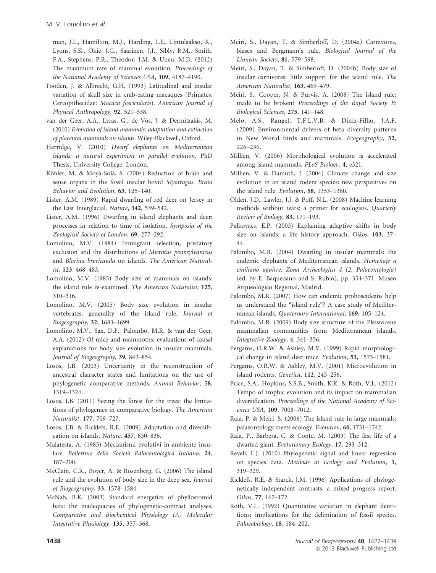man, J.L., Hamilton, M.J., Harding, L.E., Lintulaakso, K., Lyons, S.K., Okie, J.G., Saarinen, J.J., Sibly, R.M., Smith, F.A., Stephens, P.R., Theodor, J.M. & Uhen, M.D. (2012) The maximum rate of mammal evolution. Proceedings of the National Academy of Sciences USA, 109, 4187–4190.

- Fooden, J. & Albrecht, G.H. (1993) Latitudinal and insular variation of skull size in crab-eating macaques (Primates, Cercopithecidae: Macaca fascicularis). American Journal of Physical Anthropology, 92, 521–538.
- van der Geer, A.A., Lyras, G., de Vos, J. & Dermitzakis, M. (2010) Evolution of island mammals: adaptation and extinction of placental mammals on islands. Wiley-Blackwell, Oxford.
- Herridge, V. (2010) Dwarf elephants on Mediterranean islands: a natural experiment in parallel evolution. PhD Thesis, University College, London.
- Köhler, M. & Moyà-Solà, S. (2004) Reduction of brain and sense organs in the fossil insular bovid Myotragus. Brain Behavior and Evolution, 63, 125–140.
- Lister, A.M. (1989) Rapid dwarfing of red deer on Jersey in the Last Interglacial. Nature, 342, 539–542.
- Lister, A.M. (1996) Dwarfing in island elephants and deer: processes in relation to time of isolation. Symposia of the Zoological Society of London, 69, 277–292.
- Lomolino, M.V. (1984) Immigrant selection, predatory exclusion and the distributions of Microtus pennsylvanicus and Blarina brevicauda on islands. The American Naturalist, 123, 468–483.
- Lomolino, M.V. (1985) Body size of mammals on islands: the island rule re-examined. The American Naturalist, 125, 310–316.
- Lomolino, M.V. (2005) Body size evolution in insular vertebrates: generality of the island rule. Journal of Biogeography, 32, 1683–1699.
- Lomolino, M.V., Sax, D.F., Palombo, M.R. & van der Geer, A.A. (2012) Of mice and mammoths: evaluations of causal explanations for body size evolution in insular mammals. Journal of Biogeography, 39, 842–854.
- Losos, J.B. (2003) Uncertainty in the reconstruction of ancestral character states and limitations on the use of phylogenetic comparative methods. Animal Behavior, 58, 1319–1324.
- Losos, J.B. (2011) Seeing the forest for the trees: the limitations of phylogenies in comparative biology. The American Naturalist, 177, 709–727.
- Losos, J.B. & Ricklefs, R.E. (2009) Adaptation and diversification on islands. Nature, 457, 830–836.
- Malatesta, A. (1985) Meccanismi evolutivi in ambiente insulare. Bollettino della Società Palaeontologica Italiana, 24, 187–200.
- McClain, C.R., Boyer, A. & Rosenberg, G. (2006) The island rule and the evolution of body size in the deep sea. Journal of Biogeography, 33, 1578–1584.
- McNab, B.K. (2003) Standard energetics of phyllostomid bats: the inadequacies of phylogenetic-contrast analyses. Comparative and Biochemical Physiology (A) Molecular Integrative Physiology, 135, 357–368.
- Meiri, S., Dayan, T. & Simberloff, D. (2004a) Carnivores, biases and Bergmann's rule. Biological Journal of the Linnean Society, 81, 579–598.
- Meiri, S., Dayan, T. & Simberloff, D. (2004b) Body size of insular carnivores: little support for the island rule. The American Naturalist, 163, 469–479.
- Meiri, S., Cooper, N. & Purvis, A. (2008) The island rule: made to be broken? Proceedings of the Royal Society B: Biological Sciences, 275, 141–148.
- Melo, A.S., Rangel, T.F.L.V.B. & Diniz-Filho, J.A.F. (2009) Environmental drivers of beta diversity patterns in New World birds and mammals. Ecogeography, 32, 226–236.
- Millien, V. (2006) Morphological evolution is accelerated among island mammals. PLoS Biology, 4, e321.
- Millien, V. & Damuth, J. (2004) Climate change and size evolution in an island rodent species: new perspectives on the island rule. Evolution, 58, 1353–1360.
- Olden, J.D., Lawler, J.J. & Poff, N.L. (2008) Machine learning methods without tears: a primer for ecologists. Quarterly Review of Biology, 83, 171–193.
- Palkovacs, E.P. (2003) Explaining adaptive shifts in body size on islands: a life history approach. Oikos, 103, 37– 44.
- Palombo, M.R. (2004) Dwarfing in insular mammals: the endemic elephants of Mediterranean islands. Homenaje a emiliano aguirre. Zona Archeologica 4 (2, Palaeontologia) (ed. by E. Baquedano and S. Rubio), pp. 354–371. Museo Arqueológico Regional, Madrid.
- Palombo, M.R. (2007) How can endemic proboscideans help us understand the "island rule"? A case study of Mediterranean islands. Quaternary International, 169, 105–124.
- Palombo, M.R. (2009) Body size structure of the Pleistocene mammalian communities from Mediterranean islands. Integrative Zoology, 4, 341–356.
- Pergams, O.R.W. & Ashley, M.V. (1999) Rapid morphological change in island deer mice. Evolution, 53, 1573–1581.
- Pergams, O.R.W. & Ashley, M.V. (2001) Microevolution in island rodents. Genetica, 112, 245–256.
- Price, S.A., Hopkins, S.S.B., Smith, K.K. & Roth, V.L. (2012) Tempo of trophic evolution and its impact on mammalian diversification. Proceedings of the National Academy of Sciences USA, 109, 7008–7012.
- Raia, P. & Meiri, S. (2006) The island rule in large mammals: palaeontology meets ecology. Evolution, 60, 1731–1742.
- Raia, P., Barbera, C. & Conte, M. (2003) The fast life of a dwarfed giant. Evolutionary Ecology, 17, 293–312.
- Revell, L.J. (2010) Phylogenetic signal and linear regression on species data. Methods in Ecology and Evolution, 1, 319–329.
- Ricklefs, R.E. & Starck, J.M. (1996) Applications of phylogenetically independent contrasts: a mixed progress report. Oikos, 77, 167–172.
- Roth, V.L. (1992) Quantitative variation in elephant dentitions: implications for the delimitation of fossil species. Palaeobiology, 18, 184–202.